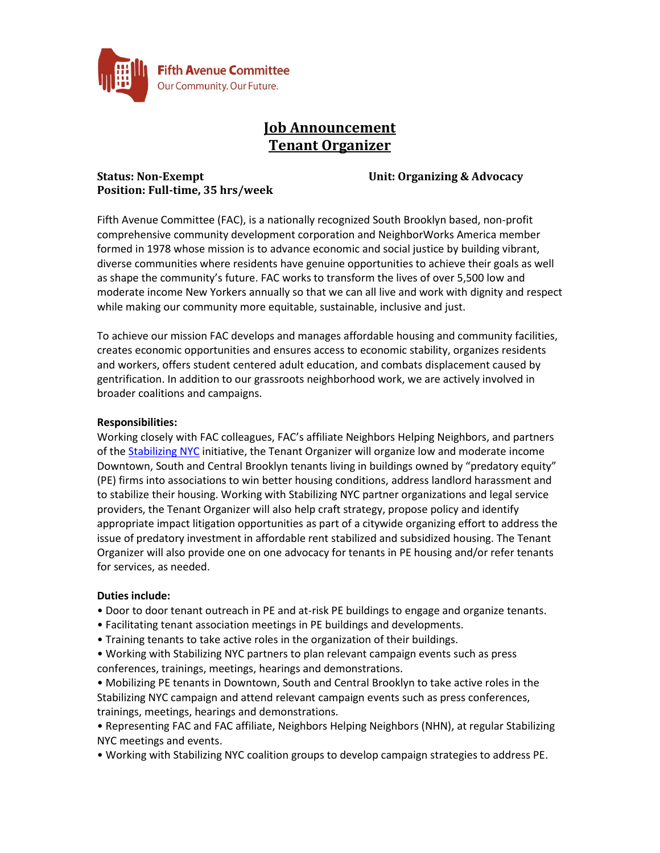

# **Job Announcement Tenant Organizer**

## **Status: Non-Exempt Unit: Organizing & Advocacy Position: Full-time, 35 hrs/week**

Fifth Avenue Committee (FAC), is a nationally recognized South Brooklyn based, non-profit comprehensive community development corporation and NeighborWorks America member formed in 1978 whose mission is to advance economic and social justice by building vibrant, diverse communities where residents have genuine opportunities to achieve their goals as well as shape the community's future. FAC works to transform the lives of over 5,500 low and moderate income New Yorkers annually so that we can all live and work with dignity and respect while making our community more equitable, sustainable, inclusive and just.

To achieve our mission FAC develops and manages affordable housing and community facilities, creates economic opportunities and ensures access to economic stability, organizes residents and workers, offers student centered adult education, and combats displacement caused by gentrification. In addition to our grassroots neighborhood work, we are actively involved in broader coalitions and campaigns.

## **Responsibilities:**

Working closely with FAC colleagues, FAC's affiliate Neighbors Helping Neighbors, and partners of the [Stabilizing NYC](https://stabilizingnyc.org/) initiative, the Tenant Organizer will organize low and moderate income Downtown, South and Central Brooklyn tenants living in buildings owned by "predatory equity" (PE) firms into associations to win better housing conditions, address landlord harassment and to stabilize their housing. Working with Stabilizing NYC partner organizations and legal service providers, the Tenant Organizer will also help craft strategy, propose policy and identify appropriate impact litigation opportunities as part of a citywide organizing effort to address the issue of predatory investment in affordable rent stabilized and subsidized housing. The Tenant Organizer will also provide one on one advocacy for tenants in PE housing and/or refer tenants for services, as needed.

## **Duties include:**

- Door to door tenant outreach in PE and at-risk PE buildings to engage and organize tenants.
- Facilitating tenant association meetings in PE buildings and developments.
- Training tenants to take active roles in the organization of their buildings.
- Working with Stabilizing NYC partners to plan relevant campaign events such as press conferences, trainings, meetings, hearings and demonstrations.
- Mobilizing PE tenants in Downtown, South and Central Brooklyn to take active roles in the Stabilizing NYC campaign and attend relevant campaign events such as press conferences, trainings, meetings, hearings and demonstrations.
- Representing FAC and FAC affiliate, Neighbors Helping Neighbors (NHN), at regular Stabilizing NYC meetings and events.
- Working with Stabilizing NYC coalition groups to develop campaign strategies to address PE.